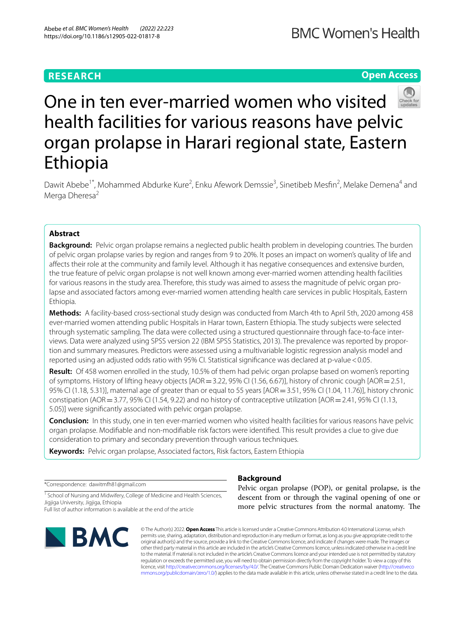# **RESEARCH**

# **Open Access**



# One in ten ever-married women who visited health facilities for various reasons have pelvic organ prolapse in Harari regional state, Eastern Ethiopia

Dawit Abebe<sup>1\*</sup>, Mohammed Abdurke Kure<sup>2</sup>, Enku Afework Demssie<sup>3</sup>, Sinetibeb Mesfin<sup>2</sup>, Melake Demena<sup>4</sup> and Merga Dheresa<sup>2</sup>

# **Abstract**

**Background:** Pelvic organ prolapse remains a neglected public health problem in developing countries. The burden of pelvic organ prolapse varies by region and ranges from 9 to 20%. It poses an impact on women's quality of life and afects their role at the community and family level. Although it has negative consequences and extensive burden, the true feature of pelvic organ prolapse is not well known among ever-married women attending health facilities for various reasons in the study area. Therefore, this study was aimed to assess the magnitude of pelvic organ prolapse and associated factors among ever-married women attending health care services in public Hospitals, Eastern Ethiopia.

**Methods:** A facility-based cross-sectional study design was conducted from March 4th to April 5th, 2020 among 458 ever-married women attending public Hospitals in Harar town, Eastern Ethiopia. The study subjects were selected through systematic sampling. The data were collected using a structured questionnaire through face-to-face interviews. Data were analyzed using SPSS version 22 (IBM SPSS Statistics, 2013). The prevalence was reported by proportion and summary measures. Predictors were assessed using a multivariable logistic regression analysis model and reported using an adjusted odds ratio with 95% CI. Statistical significance was declared at p-value < 0.05.

**Result:** Of 458 women enrolled in the study, 10.5% of them had pelvic organ prolapse based on women's reporting of symptoms. History of lifting heavy objects [AOR=3.22, 95% CI (1.56, 6.67)], history of chronic cough [AOR=2.51, 95% CI (1.18, 5.31)], maternal age of greater than or equal to 55 years [AOR=3.51, 95% CI (1.04, 11.76)], history chronic constipation (AOR=3.77, 95% CI (1.54, 9.22) and no history of contraceptive utilization [AOR=2.41, 95% CI (1.13, 5.05)] were signifcantly associated with pelvic organ prolapse.

**Conclusion:** In this study, one in ten ever-married women who visited health facilities for various reasons have pelvic organ prolapse. Modifable and non-modifable risk factors were identifed. This result provides a clue to give due consideration to primary and secondary prevention through various techniques.

**Keywords:** Pelvic organ prolapse, Associated factors, Risk factors, Eastern Ethiopia

\*Correspondence: dawitmfh81@gmail.com

<sup>1</sup> School of Nursing and Midwifery, College of Medicine and Health Sciences, Jigjiga University, Jigjiga, Ethiopia

Full list of author information is available at the end of the article



# **Background**

Pelvic organ prolapse (POP), or genital prolapse, is the descent from or through the vaginal opening of one or more pelvic structures from the normal anatomy. The

© The Author(s) 2022. **Open Access** This article is licensed under a Creative Commons Attribution 4.0 International License, which permits use, sharing, adaptation, distribution and reproduction in any medium or format, as long as you give appropriate credit to the original author(s) and the source, provide a link to the Creative Commons licence, and indicate if changes were made. The images or other third party material in this article are included in the article's Creative Commons licence, unless indicated otherwise in a credit line to the material. If material is not included in the article's Creative Commons licence and your intended use is not permitted by statutory regulation or exceeds the permitted use, you will need to obtain permission directly from the copyright holder. To view a copy of this licence, visit [http://creativecommons.org/licenses/by/4.0/.](http://creativecommons.org/licenses/by/4.0/) The Creative Commons Public Domain Dedication waiver ([http://creativeco](http://creativecommons.org/publicdomain/zero/1.0/) [mmons.org/publicdomain/zero/1.0/](http://creativecommons.org/publicdomain/zero/1.0/)) applies to the data made available in this article, unless otherwise stated in a credit line to the data.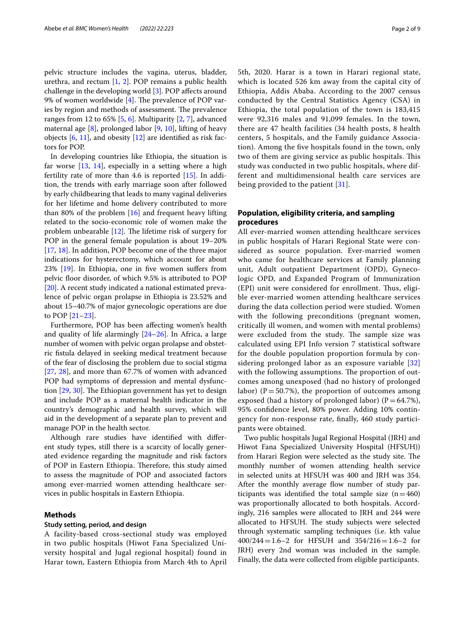pelvic structure includes the vagina, uterus, bladder, urethra, and rectum [[1,](#page-7-0) [2](#page-7-1)]. POP remains a public health challenge in the developing world [[3\]](#page-7-2). POP afects around 9% of women worldwide  $[4]$  $[4]$ . The prevalence of POP varies by region and methods of assessment. The prevalence ranges from 12 to 65% [\[5](#page-7-4), [6\]](#page-7-5). Multiparity [\[2](#page-7-1), [7](#page-7-6)], advanced maternal age  $[8]$  $[8]$ , prolonged labor  $[9, 10]$  $[9, 10]$  $[9, 10]$  $[9, 10]$ , lifting of heavy objects  $[6, 11]$  $[6, 11]$  $[6, 11]$  $[6, 11]$ , and obesity  $[12]$  are identified as risk factors for POP.

In developing countries like Ethiopia, the situation is far worse  $[13, 14]$  $[13, 14]$  $[13, 14]$  $[13, 14]$ , especially in a setting where a high fertility rate of more than 4.6 is reported [[15\]](#page-8-1). In addition, the trends with early marriage soon after followed by early childbearing that leads to many vaginal deliveries for her lifetime and home delivery contributed to more than 80% of the problem [[16\]](#page-8-2) and frequent heavy lifting related to the socio-economic role of women make the problem unbearable  $[12]$  $[12]$  $[12]$ . The lifetime risk of surgery for POP in the general female population is about 19–20% [[17,](#page-8-3) [18](#page-8-4)]. In addition, POP become one of the three major indications for hysterectomy, which account for about 23% [[19\]](#page-8-5). In Ethiopia, one in fve women sufers from pelvic floor disorder, of which 9.5% is attributed to POP [[20\]](#page-8-6). A recent study indicated a national estimated prevalence of pelvic organ prolapse in Ethiopia is 23.52% and about 15–40.7% of major gynecologic operations are due to POP [[21–](#page-8-7)[23](#page-8-8)].

Furthermore, POP has been afecting women's health and quality of life alarmingly [[24](#page-8-9)[–26](#page-8-10)]. In Africa, a large number of women with pelvic organ prolapse and obstetric fstula delayed in seeking medical treatment because of the fear of disclosing the problem due to social stigma [[27,](#page-8-11) [28](#page-8-12)], and more than 67.7% of women with advanced POP had symptoms of depression and mental dysfunction  $[29, 30]$  $[29, 30]$  $[29, 30]$  $[29, 30]$ . The Ethiopian government has yet to design and include POP as a maternal health indicator in the country's demographic and health survey, which will aid in the development of a separate plan to prevent and manage POP in the health sector.

Although rare studies have identifed with diferent study types, still there is a scarcity of locally generated evidence regarding the magnitude and risk factors of POP in Eastern Ethiopia. Therefore, this study aimed to assess the magnitude of POP and associated factors among ever-married women attending healthcare services in public hospitals in Eastern Ethiopia.

# **Methods**

#### **Study setting, period, and design**

A facility-based cross-sectional study was employed in two public hospitals (Hiwot Fana Specialized University hospital and Jugal regional hospital) found in Harar town, Eastern Ethiopia from March 4th to April 5th, 2020. Harar is a town in Harari regional state, which is located 526 km away from the capital city of Ethiopia, Addis Ababa. According to the 2007 census conducted by the Central Statistics Agency (CSA) in Ethiopia, the total population of the town is 183,415 were 92,316 males and 91,099 females. In the town, there are 47 health facilities (34 health posts, 8 health centers, 5 hospitals, and the Family guidance Association). Among the fve hospitals found in the town, only two of them are giving service as public hospitals. This study was conducted in two public hospitals, where different and multidimensional health care services are being provided to the patient [[31\]](#page-8-15).

# **Population, eligibility criteria, and sampling procedures**

All ever-married women attending healthcare services in public hospitals of Harari Regional State were considered as source population. Ever-married women who came for healthcare services at Family planning unit, Adult outpatient Department (OPD), Gynecologic OPD, and Expanded Program of Immunization (EPI) unit were considered for enrollment. Thus, eligible ever-married women attending healthcare services during the data collection period were studied. Women with the following preconditions (pregnant women, critically ill women, and women with mental problems) were excluded from the study. The sample size was calculated using EPI Info version 7 statistical software for the double population proportion formula by considering prolonged labor as an exposure variable [\[32](#page-8-16)] with the following assumptions. The proportion of outcomes among unexposed (had no history of prolonged labor) ( $P = 50.7\%$ ), the proportion of outcomes among exposed (had a history of prolonged labor) ( $P=64.7\%$ ), 95% confdence level, 80% power. Adding 10% contingency for non-response rate, fnally, 460 study participants were obtained.

Two public hospitals Jugal Regional Hospital (JRH) and Hiwot Fana Specialized University Hospital (HFSUH)) from Harari Region were selected as the study site. The monthly number of women attending health service in selected units at HFSUH was 400 and JRH was 354. After the monthly average flow number of study participants was identified the total sample size  $(n=460)$ was proportionally allocated to both hospitals. Accordingly, 216 samples were allocated to JRH and 244 were allocated to HFSUH. The study subjects were selected through systematic sampling techniques (i.e. kth value 400/244=1.6–2 for HFSUH and 354/216=1.6–2 for JRH) every 2nd woman was included in the sample. Finally, the data were collected from eligible participants.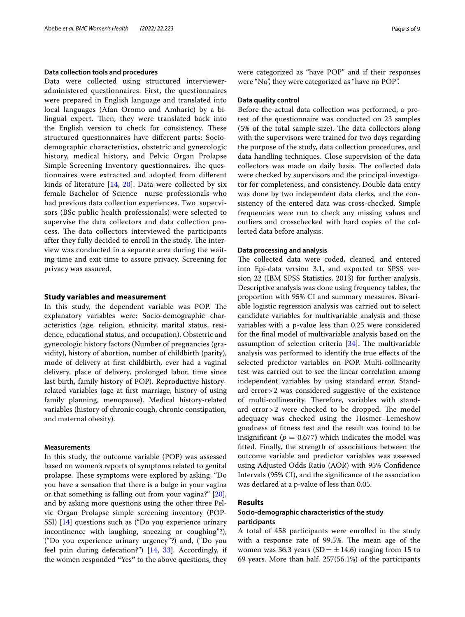#### **Data collection tools and procedures**

Data were collected using structured intervieweradministered questionnaires. First, the questionnaires were prepared in English language and translated into local languages (Afan Oromo and Amharic) by a bilingual expert. Then, they were translated back into the English version to check for consistency. These structured questionnaires have diferent parts: Sociodemographic characteristics, obstetric and gynecologic history, medical history, and Pelvic Organ Prolapse Simple Screening Inventory questionnaires. The questionnaires were extracted and adopted from diferent kinds of literature [[14](#page-8-0), [20](#page-8-6)]. Data were collected by six female Bachelor of Science nurse professionals who had previous data collection experiences. Two supervisors (BSc public health professionals) were selected to supervise the data collectors and data collection process. The data collectors interviewed the participants after they fully decided to enroll in the study. The interview was conducted in a separate area during the waiting time and exit time to assure privacy. Screening for privacy was assured.

#### **Study variables and measurement**

In this study, the dependent variable was POP. The explanatory variables were: Socio-demographic characteristics (age, religion, ethnicity, marital status, residence, educational status, and occupation). Obstetric and gynecologic history factors (Number of pregnancies (gravidity), history of abortion, number of childbirth (parity), mode of delivery at frst childbirth, ever had a vaginal delivery, place of delivery, prolonged labor, time since last birth, family history of POP). Reproductive historyrelated variables (age at frst marriage, history of using family planning, menopause). Medical history-related variables (history of chronic cough, chronic constipation, and maternal obesity).

#### **Measurements**

In this study, the outcome variable (POP) was assessed based on women's reports of symptoms related to genital prolapse. These symptoms were explored by asking, "Do you have a sensation that there is a bulge in your vagina or that something is falling out from your vagina?" [\[20](#page-8-6)], and by asking more questions using the other three Pelvic Organ Prolapse simple screening inventory (POP-SSI) [[14](#page-8-0)] questions such as ("Do you experience urinary incontinence with laughing, sneezing or coughing"?), ("Do you experience urinary urgency"?) and, ("Do you feel pain during defecation?") [[14,](#page-8-0) [33\]](#page-8-17). Accordingly, if the women responded **"**Yes**"** to the above questions, they were categorized as "have POP" and if their responses were "No", they were categorized as "have no POP".

### **Data quality control**

Before the actual data collection was performed, a pretest of the questionnaire was conducted on 23 samples  $(5\% \text{ of the total sample size})$ . The data collectors along with the supervisors were trained for two days regarding the purpose of the study, data collection procedures, and data handling techniques. Close supervision of the data collectors was made on daily basis. The collected data were checked by supervisors and the principal investigator for completeness, and consistency. Double data entry was done by two independent data clerks, and the consistency of the entered data was cross-checked. Simple frequencies were run to check any missing values and outliers and crosschecked with hard copies of the collected data before analysis.

#### **Data processing and analysis**

The collected data were coded, cleaned, and entered into Epi-data version 3.1, and exported to SPSS version 22 (IBM SPSS Statistics, 2013) for further analysis. Descriptive analysis was done using frequency tables, the proportion with 95% CI and summary measures. Bivariable logistic regression analysis was carried out to select candidate variables for multivariable analysis and those variables with a p-value less than 0.25 were considered for the fnal model of multivariable analysis based on the assumption of selection criteria  $[34]$  $[34]$ . The multivariable analysis was performed to identify the true efects of the selected predictor variables on POP. Multi-collinearity test was carried out to see the linear correlation among independent variables by using standard error. Standard error>2 was considered suggestive of the existence of multi-collinearity. Therefore, variables with standard  $error > 2$  were checked to be dropped. The model adequacy was checked using the Hosmer–Lemeshow goodness of ftness test and the result was found to be insignificant ( $p = 0.677$ ) which indicates the model was ftted. Finally, the strength of associations between the outcome variable and predictor variables was assessed using Adjusted Odds Ratio (AOR) with 95% Confdence Intervals (95% CI), and the signifcance of the association was declared at a p-value of less than 0.05.

## **Results**

# **Socio‑demographic characteristics of the study participants**

A total of 458 participants were enrolled in the study with a response rate of 99.5%. The mean age of the women was 36.3 years (SD  $= \pm 14.6$ ) ranging from 15 to 69 years. More than half, 257(56.1%) of the participants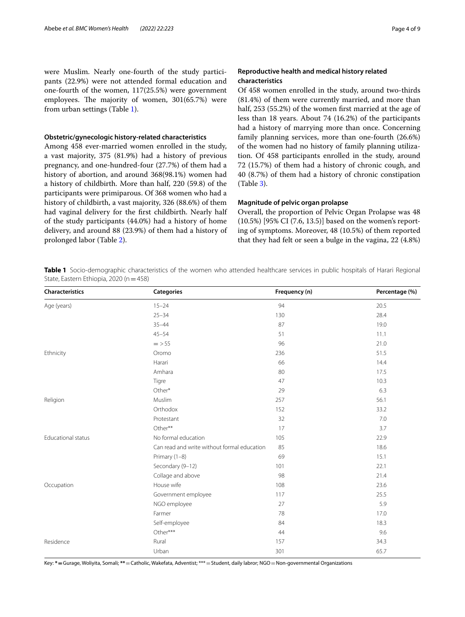were Muslim. Nearly one-fourth of the study participants (22.9%) were not attended formal education and one-fourth of the women, 117(25.5%) were government employees. The majority of women, 301(65.7%) were from urban settings (Table [1](#page-3-0)).

#### **Obstetric/gynecologic history‑related characteristics**

Among 458 ever-married women enrolled in the study, a vast majority, 375 (81.9%) had a history of previous pregnancy, and one-hundred-four (27.7%) of them had a history of abortion, and around 368(98.1%) women had a history of childbirth. More than half, 220 (59.8) of the participants were primiparous. Of 368 women who had a history of childbirth, a vast majority, 326 (88.6%) of them had vaginal delivery for the frst childbirth. Nearly half of the study participants (44.0%) had a history of home delivery, and around 88 (23.9%) of them had a history of prolonged labor (Table [2](#page-4-0)).

## **Reproductive health and medical history related characteristics**

Of 458 women enrolled in the study, around two-thirds (81.4%) of them were currently married, and more than half, 253 (55.2%) of the women frst married at the age of less than 18 years. About 74 (16.2%) of the participants had a history of marrying more than once. Concerning family planning services, more than one-fourth (26.6%) of the women had no history of family planning utilization. Of 458 participants enrolled in the study, around 72 (15.7%) of them had a history of chronic cough, and 40 (8.7%) of them had a history of chronic constipation (Table [3\)](#page-4-1).

## **Magnitude of pelvic organ prolapse**

Overall, the proportion of Pelvic Organ Prolapse was 48 (10.5%) [95% CI (7.6, 13.5)] based on the women's reporting of symptoms. Moreover, 48 (10.5%) of them reported that they had felt or seen a bulge in the vagina, 22 (4.8%)

<span id="page-3-0"></span>**Table 1** Socio-demographic characteristics of the women who attended healthcare services in public hospitals of Harari Regional State, Eastern Ethiopia, 2020 (n = 458)

| Characteristics           | <b>Categories</b>                           | Frequency (n) | Percentage (%) |
|---------------------------|---------------------------------------------|---------------|----------------|
| Age (years)               | $15 - 24$                                   | 94            | 20.5           |
|                           | $25 - 34$                                   | 130           | 28.4           |
|                           | $35 - 44$                                   | 87            | 19.0           |
|                           | $45 - 54$                                   | 51            | 11.1           |
|                           | $=$ > 55                                    | 96            | 21.0           |
| Ethnicity                 | Oromo                                       | 236           | 51.5           |
|                           | Harari                                      | 66            | 14.4           |
|                           | Amhara                                      | 80            | 17.5           |
|                           | Tigre                                       | 47            | 10.3           |
|                           | Other*                                      | 29            | 6.3            |
| Religion                  | Muslim                                      | 257           | 56.1           |
|                           | Orthodox                                    | 152           | 33.2           |
|                           | Protestant                                  | 32            | 7.0            |
|                           | Other**                                     | 17            | 3.7            |
| <b>Educational status</b> | No formal education                         | 105           | 22.9           |
|                           | Can read and write without formal education | 85            | 18.6           |
|                           | Primary (1-8)                               | 69            | 15.1           |
|                           | Secondary (9-12)                            | 101           | 22.1           |
|                           | Collage and above                           | 98            | 21.4           |
| Occupation                | House wife                                  | 108           | 23.6           |
|                           | Government employee                         | 117           | 25.5           |
|                           | NGO employee                                | 27            | 5.9            |
|                           | Farmer                                      | 78            | 17.0           |
|                           | Self-employee                               | 84            | 18.3           |
|                           | Other***                                    | 44            | 9.6            |
| Residence                 | Rural                                       | 157           | 34.3           |
|                           | Urban                                       | 301           | 65.7           |

Key: **\*=**Gurage, Woliyita, Somali; **\*\***=Catholic, Wakefata, Adventist; \*\*\*=Student, daily labror; NGO=Non-governmental Organizations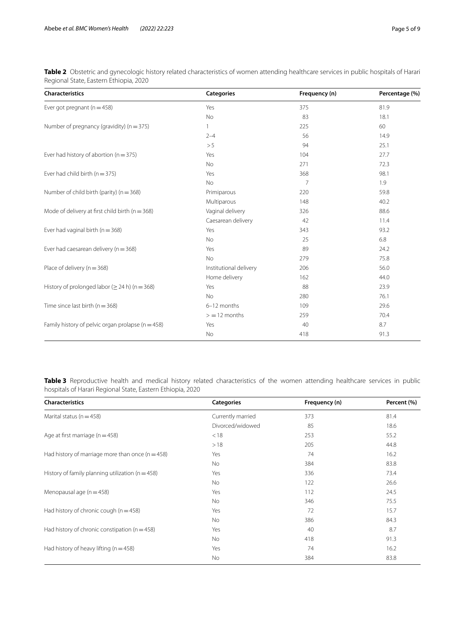| <b>Characteristics</b>                                | <b>Categories</b>      | Frequency (n)  | Percentage (%) |
|-------------------------------------------------------|------------------------|----------------|----------------|
| Ever got pregnant ( $n = 458$ )                       | Yes                    | 375            | 81.9           |
|                                                       | <b>No</b>              | 83             | 18.1           |
| Number of pregnancy (gravidity) ( $n = 375$ )         |                        | 225            | 60             |
|                                                       | $2 - 4$                | 56             | 14.9           |
|                                                       | > 5                    | 94             | 25.1           |
| Ever had history of abortion ( $n = 375$ )            | Yes                    | 104            | 27.7           |
|                                                       | <b>No</b>              | 271            | 72.3           |
| Ever had child birth $(n = 375)$                      | Yes                    | 368            | 98.1           |
|                                                       | <b>No</b>              | $\overline{7}$ | 1.9            |
| Number of child birth (parity) ( $n = 368$ )          | Primiparous            | 220            | 59.8           |
|                                                       | Multiparous            | 148            | 40.2           |
| Mode of delivery at first child birth ( $n = 368$ )   | Vaginal delivery       | 326            | 88.6           |
|                                                       | Caesarean delivery     | 42             | 11.4           |
| Ever had vaginal birth ( $n = 368$ )                  | Yes                    | 343            | 93.2           |
|                                                       | <b>No</b>              | 25             | 6.8            |
| Ever had caesarean delivery ( $n = 368$ )             | Yes                    | 89             | 24.2           |
|                                                       | <b>No</b>              | 279            | 75.8           |
| Place of delivery ( $n = 368$ )                       | Institutional delivery | 206            | 56.0           |
|                                                       | Home delivery          | 162            | 44.0           |
| History of prolonged labor ( $\geq$ 24 h) (n = 368)   | Yes                    | 88             | 23.9           |
|                                                       | No                     | 280            | 76.1           |
| Time since last birth ( $n = 368$ )                   | 6-12 months            | 109            | 29.6           |
|                                                       | $>$ = 12 months        | 259            | 70.4           |
| Family history of pelvic organ prolapse ( $n = 458$ ) | Yes                    | 40             | 8.7            |
|                                                       | No                     | 418            | 91.3           |

<span id="page-4-0"></span>**Table 2** Obstetric and gynecologic history related characteristics of women attending healthcare services in public hospitals of Harari Regional State, Eastern Ethiopia, 2020

<span id="page-4-1"></span>**Table 3** Reproductive health and medical history related characteristics of the women attending healthcare services in public hospitals of Harari Regional State, Eastern Ethiopia, 2020

| Characteristics                                      | <b>Categories</b> | Frequency (n) | Percent (%) |
|------------------------------------------------------|-------------------|---------------|-------------|
| Marital status ( $n = 458$ )                         | Currently married | 373           | 81.4        |
|                                                      | Divorced/widowed  | 85            | 18.6        |
| Age at first marriage ( $n = 458$ )                  | < 18              | 253           | 55.2        |
|                                                      | >18               | 205           | 44.8        |
| Had history of marriage more than once $(n = 458)$   | Yes               | 74            | 16.2        |
|                                                      | No                | 384           | 83.8        |
| History of family planning utilization ( $n = 458$ ) | Yes               | 336           | 73.4        |
|                                                      | No                | 122           | 26.6        |
| Menopausal age $(n = 458)$                           | Yes               | 112           | 24.5        |
|                                                      | No                | 346           | 75.5        |
| Had history of chronic cough ( $n = 458$ )           | Yes               | 72            | 15.7        |
|                                                      | No                | 386           | 84.3        |
| Had history of chronic constipation ( $n = 458$ )    | Yes               | 40            | 8.7         |
|                                                      | No                | 418           | 91.3        |
| Had history of heavy lifting ( $n = 458$ )           | Yes               | 74            | 16.2        |
|                                                      | No                | 384           | 83.8        |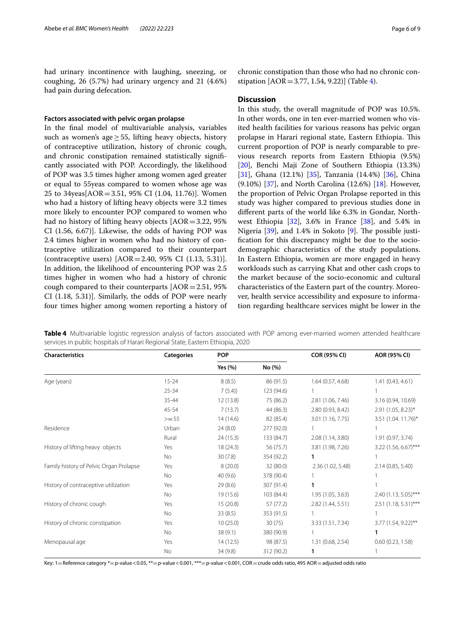had urinary incontinence with laughing, sneezing, or coughing, 26 (5.7%) had urinary urgency and 21 (4.6%) had pain during defecation.

#### **Factors associated with pelvic organ prolapse**

In the fnal model of multivariable analysis, variables such as women's age  $\geq$  55, lifting heavy objects, history of contraceptive utilization, history of chronic cough, and chronic constipation remained statistically signifcantly associated with POP. Accordingly, the likelihood of POP was 3.5 times higher among women aged greater or equal to 55yeas compared to women whose age was 25 to 34yeas[AOR=3.51, 95% CI (1.04, 11.76)]. Women who had a history of lifting heavy objects were 3.2 times more likely to encounter POP compared to women who had no history of lifting heavy objects [AOR=3.22, 95% CI (1.56, 6.67)]. Likewise, the odds of having POP was 2.4 times higher in women who had no history of contraceptive utilization compared to their counterpart (contraceptive users) [AOR=2.40, 95% CI (1.13, 5.31)]. In addition, the likelihood of encountering POP was 2.5 times higher in women who had a history of chronic cough compared to their counterparts  $[AOR=2.51, 95%$ CI (1.18, 5.31)]. Similarly, the odds of POP were nearly four times higher among women reporting a history of

chronic constipation than those who had no chronic constipation [AOR=3.77, 1.54, 9.22)] (Table [4](#page-5-0)).

#### **Discussion**

In this study, the overall magnitude of POP was 10.5%. In other words, one in ten ever-married women who visited health facilities for various reasons has pelvic organ prolapse in Harari regional state, Eastern Ethiopia. This current proportion of POP is nearly comparable to previous research reports from Eastern Ethiopia (9.5%) [[20\]](#page-8-6), Benchi Maji Zone of Southern Ethiopia (13.3%) [[31\]](#page-8-15), Ghana (12.1%) [\[35\]](#page-8-19), Tanzania (14.4%) [\[36](#page-8-20)], China (9.10%) [\[37](#page-8-21)], and North Carolina (12.6%) [[18](#page-8-4)]. However, the proportion of Pelvic Organ Prolapse reported in this study was higher compared to previous studies done in diferent parts of the world like 6.3% in Gondar, Northwest Ethiopia  $[32]$ , 3.6% in France  $[38]$  $[38]$ , and 5.4% in Nigeria  $[39]$  $[39]$  $[39]$ , and 1.4% in Sokoto  $[9]$  $[9]$ . The possible justifcation for this discrepancy might be due to the sociodemographic characteristics of the study populations. In Eastern Ethiopia, women are more engaged in heavy workloads such as carrying Khat and other cash crops to the market because of the socio-economic and cultural characteristics of the Eastern part of the country. Moreover, health service accessibility and exposure to information regarding healthcare services might be lower in the

| <b>Characteristics</b>                  | <b>Categories</b> | <b>POP</b> |            | COR (95% CI)      | AOR (95% CI)         |
|-----------------------------------------|-------------------|------------|------------|-------------------|----------------------|
|                                         |                   | Yes (%)    | No (%)     |                   |                      |
| Age (years)                             | $15 - 24$         | 8(8.5)     | 86 (91.5)  | 1.64(0.57, 4.68)  | 1.41(0.43, 4.61)     |
|                                         | $25 - 34$         | 7(5.4)     | 123 (94.6) |                   |                      |
|                                         | 35-44             | 12(13.8)   | 75 (86.2)  | 2.81 (1.06, 7.46) | 3.16 (0.94, 10.69)   |
|                                         | 45-54             | 7(13.7)    | 44 (86.3)  | 2.80 (0.93, 8.42) | $2.91$ (1.05, 8.23)* |
|                                         | $>= 55$           | 14(14.6)   | 82 (85.4)  | 3.01 (1.16, 7.75) | 3.51 (1.04. 11.76)*  |
| Residence                               | Urban             | 24(8.0)    | 277 (92.0) |                   |                      |
|                                         | Rural             | 24(15.3)   | 133 (84.7) | 2.08(1.14, 3.80)  | 1.91(0.97, 3.74)     |
| History of lifting heavy objects        | Yes               | 18 (24.3)  | 56 (75.7)  | 3.81 (1.98, 7.26) | 3.22 (1.56, 6.67)*** |
|                                         | <b>No</b>         | 30(7.8)    | 354 (92.2) | 1                 |                      |
| Family history of Pelvic Organ Prolapse | Yes               | 8(20.0)    | 32 (80.0)  | 2.36 (1.02, 5.48) | 2.14(0.85, 5.40)     |
|                                         | <b>No</b>         | 40(9.6)    | 378 (90.4) |                   |                      |
| History of contraceptive utilization    | Yes               | 29(8.6)    | 307 (91.4) | 1                 |                      |
|                                         | No                | 19 (15.6)  | 103 (84.4) | 1.95 (1.05, 3.63) | 2.40 (1.13, 5.05)*** |
| History of chronic cough                | Yes               | 15 (20.8)  | 57 (77.2)  | 2.82 (1.44, 5.51) | 2.51 (1.18, 5.31)*** |
|                                         | <b>No</b>         | 33(8.5)    | 353 (91.5) |                   |                      |
| History of chronic constipation         | Yes               | 10(25.0)   | 30(75)     | 3.33 (1.51, 7.34) | 3.77 (1.54, 9.22)**  |
|                                         | <b>No</b>         | 38(9.1)    | 380 (90.9) |                   | 1                    |
| Menopausal age                          | Yes               | 14(12.5)   | 98 (87.5)  | 1.31 (0.68, 2.54) | 0.60(0.23, 1.58)     |
|                                         | No                | 34(9.8)    | 312 (90.2) | 1                 |                      |

<span id="page-5-0"></span>**Table 4** Multivariable logistic regression analysis of factors associated with POP among ever-married women attended healthcare services in public hospitals of Harari Regional State, Eastern Ethiopia, 2020

Key: 1=Reference category \*= p-value < 0.05, \*\*= p-value < 0.001, \*\*\*= p-value < 0.001, COR = crude odds ratio, 495 AOR = adjusted odds ratio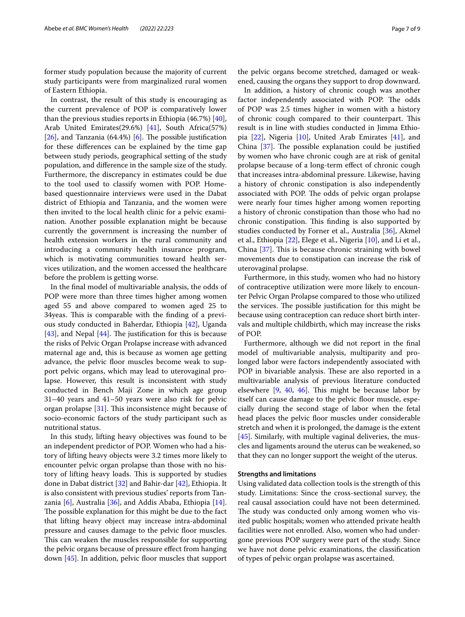former study population because the majority of current study participants were from marginalized rural women of Eastern Ethiopia.

In contrast, the result of this study is encouraging as the current prevalence of POP is comparatively lower than the previous studies reports in Ethiopia (46.7%) [\[40](#page-8-24)], Arab United Emirates(29.6%) [\[41](#page-8-25)], South Africa(57%) [[26\]](#page-8-10), and Tanzania  $(64.4\%)$  [[6\]](#page-7-5). The possible justification for these diferences can be explained by the time gap between study periods, geographical setting of the study population, and diference in the sample size of the study. Furthermore, the discrepancy in estimates could be due to the tool used to classify women with POP. Homebased questionnaire interviews were used in the Dabat district of Ethiopia and Tanzania, and the women were then invited to the local health clinic for a pelvic examination. Another possible explanation might be because currently the government is increasing the number of health extension workers in the rural community and introducing a community health insurance program, which is motivating communities toward health services utilization, and the women accessed the healthcare before the problem is getting worse.

In the fnal model of multivariable analysis, the odds of POP were more than three times higher among women aged 55 and above compared to women aged 25 to 34 yeas. This is comparable with the finding of a previous study conducted in Baherdar, Ethiopia [\[42](#page-8-26)], Uganda [[43\]](#page-8-27), and Nepal [\[44](#page-8-28)]. The justification for this is because the risks of Pelvic Organ Prolapse increase with advanced maternal age and, this is because as women age getting advance, the pelvic floor muscles become weak to support pelvic organs, which may lead to uterovaginal prolapse. However, this result is inconsistent with study conducted in Bench Maji Zone in which age group 31–40 years and 41–50 years were also risk for pelvic organ prolapse  $[31]$  $[31]$ . This inconsistence might because of socio-economic factors of the study participant such as nutritional status.

In this study, lifting heavy objectives was found to be an independent predictor of POP. Women who had a history of lifting heavy objects were 3.2 times more likely to encounter pelvic organ prolapse than those with no history of lifting heavy loads. This is supported by studies done in Dabat district [[32\]](#page-8-16) and Bahir-dar [[42\]](#page-8-26), Ethiopia. It is also consistent with previous studies' reports from Tanzania [\[6](#page-7-5)], Australia [[36](#page-8-20)], and Addis Ababa, Ethiopia [\[14](#page-8-0)]. The possible explanation for this might be due to the fact that lifting heavy object may increase intra-abdominal pressure and causes damage to the pelvic floor muscles. This can weaken the muscles responsible for supporting the pelvic organs because of pressure efect from hanging down  $[45]$  $[45]$  $[45]$ . In addition, pelvic floor muscles that support the pelvic organs become stretched, damaged or weakened, causing the organs they support to drop downward.

In addition, a history of chronic cough was another factor independently associated with POP. The odds of POP was 2.5 times higher in women with a history of chronic cough compared to their counterpart. This result is in line with studies conducted in Jimma Ethiopia [[22\]](#page-8-30), Nigeria [[10](#page-7-9)], United Arab Emirates [[41](#page-8-25)], and China  $[37]$  $[37]$ . The possible explanation could be justified by women who have chronic cough are at risk of genital prolapse because of a long-term efect of chronic cough that increases intra-abdominal pressure. Likewise, having a history of chronic constipation is also independently associated with POP. The odds of pelvic organ prolapse were nearly four times higher among women reporting a history of chronic constipation than those who had no chronic constipation. This finding is also supported by studies conducted by Forner et al., Australia [\[36](#page-8-20)], Akmel et al., Ethiopia [[22\]](#page-8-30), Elege et al., Nigeria [[10\]](#page-7-9), and Li et al., China  $[37]$  $[37]$ . This is because chronic straining with bowel movements due to constipation can increase the risk of uterovaginal prolapse.

Furthermore, in this study, women who had no history of contraceptive utilization were more likely to encounter Pelvic Organ Prolapse compared to those who utilized the services. The possible justification for this might be because using contraception can reduce short birth intervals and multiple childbirth, which may increase the risks of POP.

Furthermore, although we did not report in the fnal model of multivariable analysis, multiparity and prolonged labor were factors independently associated with POP in bivariable analysis. These are also reported in a multivariable analysis of previous literature conducted elsewhere  $[9, 40, 46]$  $[9, 40, 46]$  $[9, 40, 46]$  $[9, 40, 46]$  $[9, 40, 46]$  $[9, 40, 46]$  $[9, 40, 46]$ . This might be because labor by itself can cause damage to the pelvic floor muscle, especially during the second stage of labor when the fetal head places the pelvic floor muscles under considerable stretch and when it is prolonged, the damage is the extent [[45\]](#page-8-29). Similarly, with multiple vaginal deliveries, the muscles and ligaments around the uterus can be weakened, so that they can no longer support the weight of the uterus.

#### **Strengths and limitations**

Using validated data collection tools is the strength of this study. Limitations: Since the cross-sectional survey, the real causal association could have not been determined. The study was conducted only among women who visited public hospitals; women who attended private health facilities were not enrolled. Also, women who had undergone previous POP surgery were part of the study. Since we have not done pelvic examinations, the classifcation of types of pelvic organ prolapse was ascertained.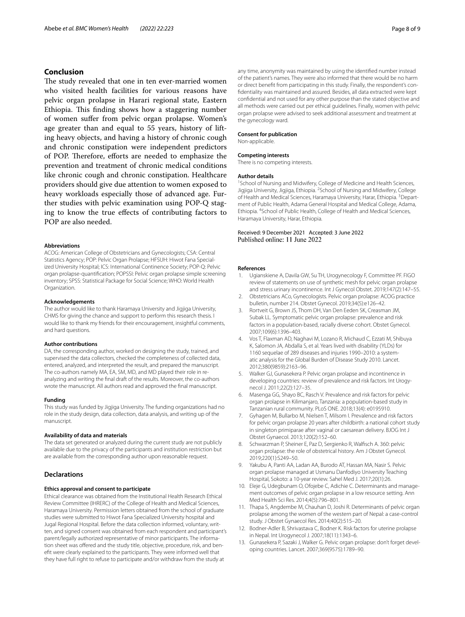## **Conclusion**

The study revealed that one in ten ever-married women who visited health facilities for various reasons have pelvic organ prolapse in Harari regional state, Eastern Ethiopia. This finding shows how a staggering number of women sufer from pelvic organ prolapse. Women's age greater than and equal to 55 years, history of lifting heavy objects, and having a history of chronic cough and chronic constipation were independent predictors of POP. Therefore, efforts are needed to emphasize the prevention and treatment of chronic medical conditions like chronic cough and chronic constipation. Healthcare providers should give due attention to women exposed to heavy workloads especially those of advanced age. Further studies with pelvic examination using POP-Q staging to know the true efects of contributing factors to POP are also needed.

#### **Abbreviations**

ACOG: American College of Obstetricians and Gynecologists; CSA: Central Statistics Agency; POP: Pelvic Organ Prolapse; HFSUH: Hiwot Fana Specialized University Hospital; ICS: International Continence Society; POP-Q: Pelvic organ prolapse-quantifcation; POPSSI: Pelvic organ prolapse simple screening inventory; SPSS: Statistical Package for Social Science; WHO: World Health Organization.

#### **Acknowledgements**

The author would like to thank Haramaya University and Jigjiga University, CHMS for giving the chance and support to perform this research thesis. I would like to thank my friends for their encouragement, insightful comments, and hard questions.

#### **Author contributions**

DA, the corresponding author, worked on designing the study, trained, and supervised the data collectors, checked the completeness of collected data, entered, analyzed, and interpreted the result, and prepared the manuscript. The co-authors namely MA, EA, SM, MD, and MD played their role in reanalyzing and writing the fnal draft of the results. Moreover, the co-authors wrote the manuscript. All authors read and approved the fnal manuscript.

#### **Funding**

This study was funded by Jigjiga University. The funding organizations had no role in the study design, data collection, data analysis, and writing up of the manuscript.

#### **Availability of data and materials**

The data set generated or analyzed during the current study are not publicly available due to the privacy of the participants and institution restriction but are available from the corresponding author upon reasonable request.

#### **Declarations**

#### **Ethics approval and consent to participate**

Ethical clearance was obtained from the Institutional Health Research Ethical Review Committee (IHRERC) of the College of Health and Medical Sciences, Haramaya University. Permission letters obtained from the school of graduate studies were submitted to Hiwot Fana Specialized University hospital and Jugal Regional Hospital. Before the data collection informed, voluntary, written, and signed consent was obtained from each respondent and participant's parent/legally authorized representative of minor participants. The information sheet was offered and the study title, objective, procedure, risk, and beneft were clearly explained to the participants. They were informed well that they have full right to refuse to participate and/or withdraw from the study at

any time, anonymity was maintained by using the identifed number instead of the patient's names. They were also informed that there would be no harm or direct beneft from participating in this study. Finally, the respondent's confdentiality was maintained and assured. Besides, all data extracted were kept confdential and not used for any other purpose than the stated objective and all methods were carried out per ethical guidelines. Finally, women with pelvic organ prolapse were advised to seek additional assessment and treatment at the gynecology ward.

#### **Consent for publication**

Non-applicable.

# **Competing interests**

There is no competing interests.

#### **Author details**

<sup>1</sup> School of Nursing and Midwifery, College of Medicine and Health Sciences, Jigjiga University, Jigjiga, Ethiopia. <sup>2</sup>School of Nursing and Midwifery, College of Health and Medical Sciences, Haramaya University, Harar, Ethiopia. <sup>3</sup> Department of Public Health, Adama General Hospital and Medical College, Adama, Ethiopia. 4 School of Public Health, College of Health and Medical Sciences, Haramaya University, Harar, Ethiopia.

#### Received: 9 December 2021 Accepted: 3 June 2022 Published online: 11 June 2022

#### **References**

- <span id="page-7-0"></span>1. Ugianskiene A, Davila GW, Su TH, Urogynecology F, Committee PF. FIGO review of statements on use of synthetic mesh for pelvic organ prolapse and stress urinary incontinence. Int J Gynecol Obstet. 2019;147(2):147–55.
- <span id="page-7-1"></span>2. Obstetricians ACo, Gynecologists. Pelvic organ prolapse: ACOG practice bulletin, number 214. Obstet Gynecol. 2019;34(5):e126–42.
- <span id="page-7-2"></span>Rortveit G, Brown JS, Thom DH, Van Den Eeden SK, Creasman JM, Subak LL. Symptomatic pelvic organ prolapse: prevalence and risk factors in a population-based, racially diverse cohort. Obstet Gynecol. 2007;109(6):1396–403.
- <span id="page-7-3"></span>4. Vos T, Flaxman AD, Naghavi M, Lozano R, Michaud C, Ezzati M, Shibuya K, Salomon JA, Abdalla S, et al. Years lived with disability (YLDs) for 1160 sequelae of 289 diseases and injuries 1990–2010: a systematic analysis for the Global Burden of Disease Study 2010. Lancet. 2012;380(9859):2163–96.
- <span id="page-7-4"></span>Walker GJ, Gunasekera P. Pelvic organ prolapse and incontinence in developing countries: review of prevalence and risk factors. Int Urogynecol J. 2011;22(2):127–35.
- <span id="page-7-5"></span>6. Masenga GG, Shayo BC, Rasch V. Prevalence and risk factors for pelvic organ prolapse in Kilimanjaro, Tanzania: a population-based study in Tanzanian rural community. PLoS ONE. 2018;13(4): e0195910.
- <span id="page-7-6"></span>7. Gyhagen M, Bullarbo M, Nielsen T, Milsom I. Prevalence and risk factors for pelvic organ prolapse 20 years after childbirth: a national cohort study in singleton primiparae after vaginal or caesarean delivery. BJOG Int J Obstet Gynaecol. 2013;120(2):152–60.
- <span id="page-7-7"></span>8. Schwarzman P, Sheiner E, Paz D, Sergienko R, Walfsch A. 360: pelvic organ prolapse: the role of obstetrical history. Am J Obstet Gynecol. 2019;220(1):S249–50.
- <span id="page-7-8"></span>9. Yakubu A, Panti AA, Ladan AA, Burodo AT, Hassan MA, Nasir S. Pelvic organ prolapse managed at Usmanu Danfodiyo University Teaching Hospital, Sokoto: a 10-year review. Sahel Med J. 2017;20(1):26.
- <span id="page-7-9"></span>10. Eleje G, Udegbunam O, Ofojebe C, Adichie C. Determinants and management outcomes of pelvic organ prolapse in a low resource setting. Ann Med Health Sci Res. 2014;4(5):796–801.
- <span id="page-7-10"></span>11. Thapa S, Angdembe M, Chauhan D, Joshi R. Determinants of pelvic organ prolapse among the women of the western part of Nepal: a case-control study. J Obstet Gynaecol Res. 2014;40(2):515–20.
- <span id="page-7-11"></span>12. Bodner-Adler B, Shrivastava C, Bodner K. Risk factors for uterine prolapse in Nepal. Int Urogynecol J. 2007;18(11):1343–6.
- <span id="page-7-12"></span>13. Gunasekera P, Sazaki J, Walker G. Pelvic organ prolapse: don't forget developing countries. Lancet. 2007;369(9575):1789–90.